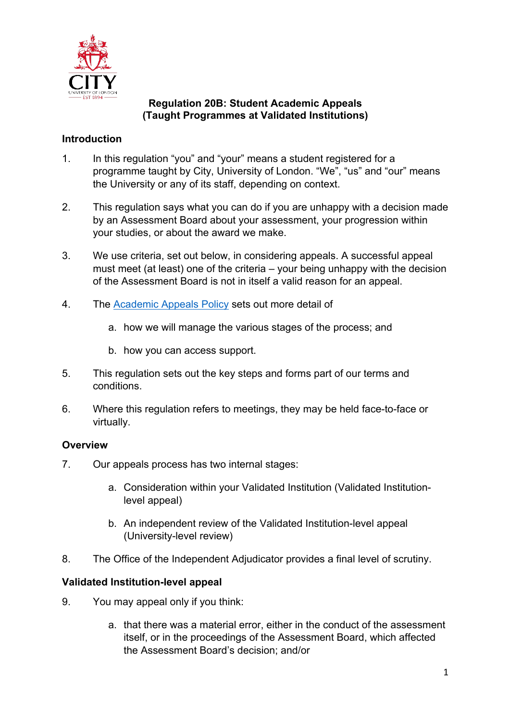

### **Regulation 20B: Student Academic Appeals (Taught Programmes at Validated Institutions)**

# **Introduction**

- 1. In this regulation "you" and "your" means a student registered for a programme taught by City, University of London. "We", "us" and "our" means the University or any of its staff, depending on context.
- 2. This regulation says what you can do if you are unhappy with a decision made by an Assessment Board about your assessment, your progression within your studies, or about the award we make.
- 3. We use criteria, set out below, in considering appeals. A successful appeal must meet (at least) one of the criteria – your being unhappy with the decision of the Assessment Board is not in itself a valid reason for an appeal.
- 4. The Academic Appeals Policy sets out more detail of
	- a. how we will manage the various stages of the process; and
	- b. how you can access support.
- 5. This regulation sets out the key steps and forms part of our terms and conditions.
- 6. Where this regulation refers to meetings, they may be held face-to-face or virtually.

## **Overview**

- 7. Our appeals process has two internal stages:
	- a. Consideration within your Validated Institution (Validated Institutionlevel appeal)
	- b. An independent review of the Validated Institution-level appeal (University-level review)
- 8. The Office of the Independent Adjudicator provides a final level of scrutiny.

## **Validated Institution-level appeal**

- 9. You may appeal only if you think:
	- a. that there was a material error, either in the conduct of the assessment itself, or in the proceedings of the Assessment Board, which affected the Assessment Board's decision; and/or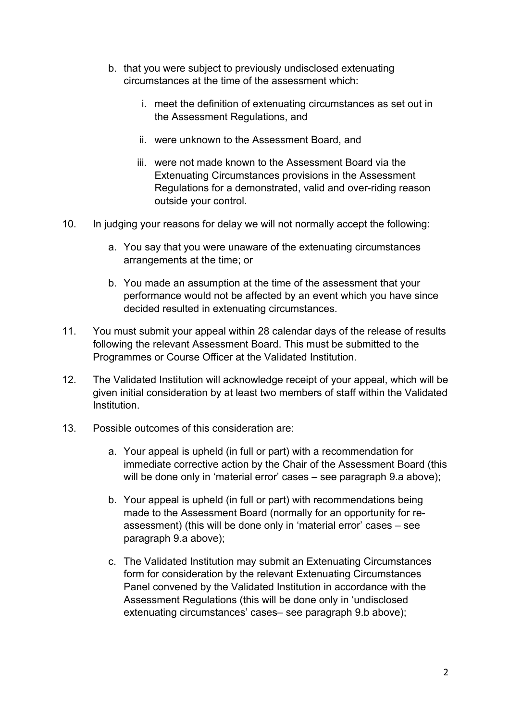- b. that you were subject to previously undisclosed extenuating circumstances at the time of the assessment which:
	- i. meet the definition of extenuating circumstances as set out in the Assessment Regulations, and
	- ii. were unknown to the Assessment Board, and
	- iii. were not made known to the Assessment Board via the Extenuating Circumstances provisions in the Assessment Regulations for a demonstrated, valid and over-riding reason outside your control.
- 10. In judging your reasons for delay we will not normally accept the following:
	- a. You say that you were unaware of the extenuating circumstances arrangements at the time; or
	- b. You made an assumption at the time of the assessment that your performance would not be affected by an event which you have since decided resulted in extenuating circumstances.
- 11. You must submit your appeal within 28 calendar days of the release of results following the relevant Assessment Board. This must be submitted to the Programmes or Course Officer at the Validated Institution.
- 12. The Validated Institution will acknowledge receipt of your appeal, which will be given initial consideration by at least two members of staff within the Validated Institution.
- 13. Possible outcomes of this consideration are:
	- a. Your appeal is upheld (in full or part) with a recommendation for immediate corrective action by the Chair of the Assessment Board (this will be done only in 'material error' cases – see paragraph 9.a above);
	- b. Your appeal is upheld (in full or part) with recommendations being made to the Assessment Board (normally for an opportunity for reassessment) (this will be done only in 'material error' cases – see paragraph 9.a above);
	- c. The Validated Institution may submit an Extenuating Circumstances form for consideration by the relevant Extenuating Circumstances Panel convened by the Validated Institution in accordance with the Assessment Regulations (this will be done only in 'undisclosed extenuating circumstances' cases– see paragraph 9.b above);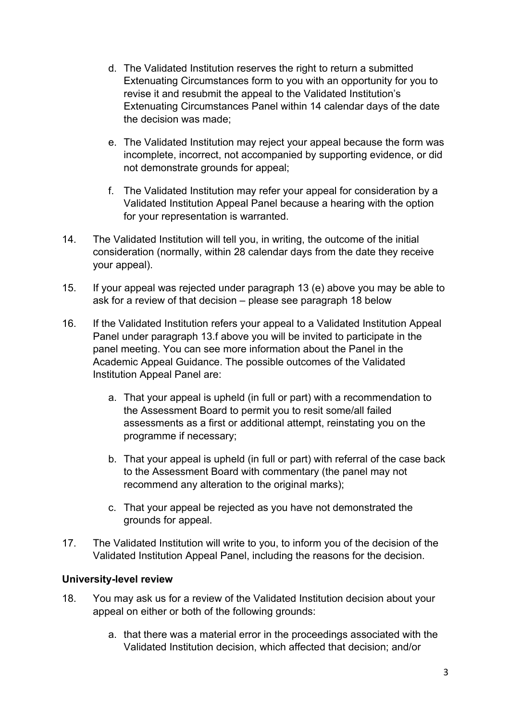- d. The Validated Institution reserves the right to return a submitted Extenuating Circumstances form to you with an opportunity for you to revise it and resubmit the appeal to the Validated Institution's Extenuating Circumstances Panel within 14 calendar days of the date the decision was made;
- e. The Validated Institution may reject your appeal because the form was incomplete, incorrect, not accompanied by supporting evidence, or did not demonstrate grounds for appeal;
- f. The Validated Institution may refer your appeal for consideration by a Validated Institution Appeal Panel because a hearing with the option for your representation is warranted.
- 14. The Validated Institution will tell you, in writing, the outcome of the initial consideration (normally, within 28 calendar days from the date they receive your appeal).
- 15. If your appeal was rejected under paragraph 13 (e) above you may be able to ask for a review of that decision – please see paragraph 18 below
- 16. If the Validated Institution refers your appeal to a Validated Institution Appeal Panel under paragraph 13.f above you will be invited to participate in the panel meeting. You can see more information about the Panel in the Academic Appeal Guidance. The possible outcomes of the Validated Institution Appeal Panel are:
	- a. That your appeal is upheld (in full or part) with a recommendation to the Assessment Board to permit you to resit some/all failed assessments as a first or additional attempt, reinstating you on the programme if necessary;
	- b. That your appeal is upheld (in full or part) with referral of the case back to the Assessment Board with commentary (the panel may not recommend any alteration to the original marks);
	- c. That your appeal be rejected as you have not demonstrated the grounds for appeal.
- 17. The Validated Institution will write to you, to inform you of the decision of the Validated Institution Appeal Panel, including the reasons for the decision.

## **University-level review**

- 18. You may ask us for a review of the Validated Institution decision about your appeal on either or both of the following grounds:
	- a. that there was a material error in the proceedings associated with the Validated Institution decision, which affected that decision; and/or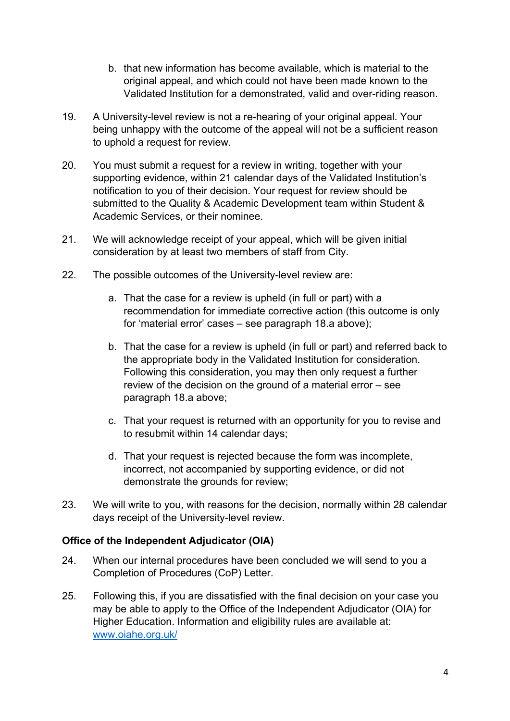- b. that new information has become available, which is material to the original appeal, and which could not have been made known to the Validated Institution for a demonstrated, valid and over-riding reason.
- 19. A University-level review is not a re-hearing of your original appeal. Your being unhappy with the outcome of the appeal will not be a sufficient reason to uphold a request for review.
- 20. You must submit a request for a review in writing, together with your supporting evidence, within 21 calendar days of the Validated Institution's notification to you of their decision. Your request for review should be submitted to the Quality & Academic Development team within Student & Academic Services, or their nominee.
- 21. We will acknowledge receipt of your appeal, which will be given initial consideration by at least two members of staff from City.
- 22. The possible outcomes of the University-level review are:
	- a. That the case for a review is upheld (in full or part) with a recommendation for immediate corrective action (this outcome is only for 'material error' cases – see paragraph 18.a above);
	- b. That the case for a review is upheld (in full or part) and referred back to the appropriate body in the Validated Institution for consideration. Following this consideration, you may then only request a further review of the decision on the ground of a material error – see paragraph 18.a above;
	- c. That your request is returned with an opportunity for you to revise and to resubmit within 14 calendar days;
	- d. That your request is rejected because the form was incomplete, incorrect, not accompanied by supporting evidence, or did not demonstrate the grounds for review;
- 23. We will write to you, with reasons for the decision, normally within 28 calendar days receipt of the University-level review.

## **Office of the Independent Adjudicator (OIA)**

- 24. When our internal procedures have been concluded we will send to you a Completion of Procedures (CoP) Letter.
- 25. Following this, if you are dissatisfied with the final decision on your case you may be able to apply to the Office of the Independent Adjudicator (OIA) for Higher Education. Information and eligibility rules are available at: www.oiahe.org.uk/